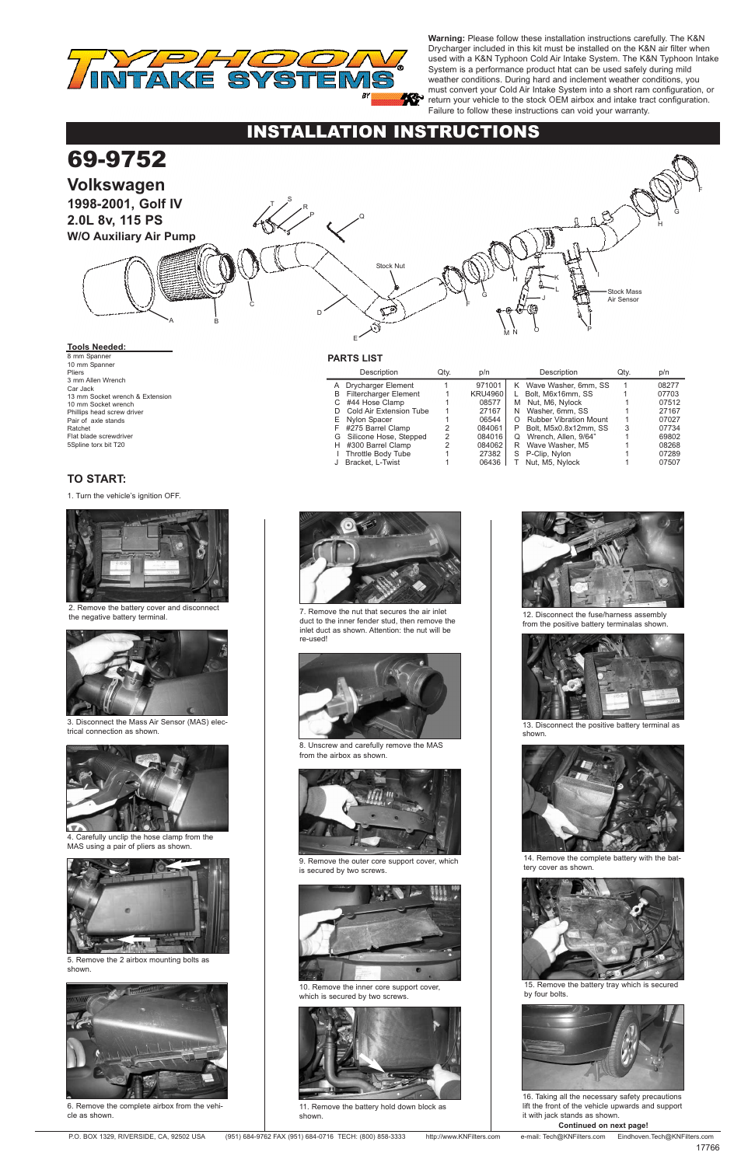## **PARTS LIST**

# INSTALLATION INSTRUCTIONS

### **Continued on next page!**

# **TO START:**

## **Tools Needed:**

8 mm Spanner 10 mm Spanner Pliers 3 mm Allen Wrench Car Jack 13 mm Socket wrench & Extension 10 mm Socket wrench Phillips head screw driver Pair of axle stands Ratchet Flat blade screwdriver 5Spline torx bit T20

1. Turn the vehicle's ignition OFF.



2. Remove the battery cover and disconnect the negative battery terminal.



4. Carefully unclip the hose clamp from the MAS using a pair of pliers as shown.

5. Remove the 2 airbox mounting bolts as shown.



7. Remove the nut that secures the air inlet duct to the inner fender stud, then remove the inlet duct as shown. Attention: the nut will be re-used!

|   | Description                  | Qtv. | p/n            |   | Description                   | Qtv. | p/n   |
|---|------------------------------|------|----------------|---|-------------------------------|------|-------|
|   | A Drycharger Element         |      | 971001         |   | K Wave Washer, 6mm, SS        |      | 08277 |
| В | <b>Filtercharger Element</b> |      | <b>KRU4960</b> |   | Bolt. M6x16mm. SS             |      | 07703 |
|   | #44 Hose Clamp               |      | 08577          | М | Nut, M6, Nylock               |      | 07512 |
|   | Cold Air Extension Tube      |      | 27167          | N | Washer, 6mm, SS               |      | 27167 |
| Е | Nylon Spacer                 |      | 06544          |   | <b>Rubber Vibration Mount</b> |      | 07027 |
|   | F #275 Barrel Clamp          |      | 084061         | P | Bolt, M5x0.8x12mm, SS         | 3    | 07734 |
| G | Silicone Hose, Stepped       | 2    | 084016         | O | Wrench, Allen, 9/64"          |      | 69802 |
|   | H #300 Barrel Clamp          | 2    | 084062         | R | Wave Washer, M5               |      | 08268 |
|   | <b>Throttle Body Tube</b>    |      | 27382          | S | P-Clip, Nylon                 |      | 07289 |
|   | Bracket, L-Twist             |      | 06436          |   | Nut, M5, Nylock               |      | 07507 |
|   |                              |      |                |   |                               |      |       |

9. Remove the outer core support cover, which is secured by two screws.

### 69-9752 **Volkswagen 1998-2001, Golf IV 2.0L 8v, 115 PS W/O Auxiliary Air Pump** F L N C D P E B I A Q O H M G  $\left| \cdot \right|$   $\left| \cdot \right|$ K Stock Nut P R  $\mathsf{I}$   $\mathsf{S}$ F H G Stock Mass Air Sensor



11. Remove the battery hold down block as shown.



12. Disconnect the fuse/harness assembly from the positive battery terminalas shown.



13. Disconnect the positive battery terminal as shown.







8. Unscrew and carefully remove the MAS from the airbox as shown.





3. Disconnect the Mass Air Sensor (MAS) electrical connection as shown.



10. Remove the inner core support cover, which is secured by two screws.



6. Remove the complete airbox from the vehicle as shown.

14. Remove the complete battery with the battery cover as shown.



15. Remove the battery tray which is secured by four bolts.



16. Taking all the necessary safety precautions lift the front of the vehicle upwards and support it with jack stands as shown.



**Warning:** Please follow these installation instructions carefully. The K&N Drycharger included in this kit must be installed on the K&N air filter when used with a K&N Typhoon Cold Air Intake System. The K&N Typhoon Intake System is a performance product htat can be used safely during mild weather conditions. During hard and inclement weather conditions, you must convert your Cold Air Intake System into a short ram configuration, or return your vehicle to the stock OEM airbox and intake tract configuration. Failure to follow these instructions can void your warranty.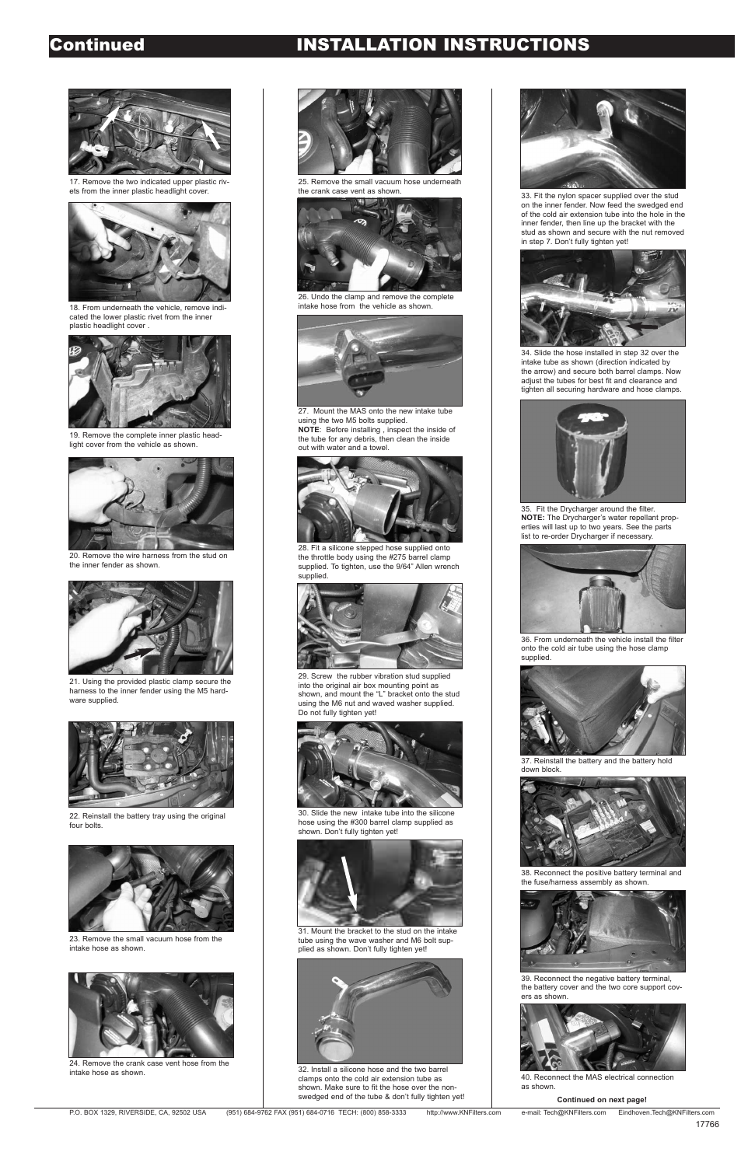# Continued INSTALLATION INSTRUCTIONS



25. Remove the small vacuum hose underneath the crank case vent as shown.



22. Reinstall the battery tray using the original four bolts.



23. Remove the small vacuum hose from the intake hose as shown.



24. Remove the crank case vent hose from the intake hose as shown.



21. Using the provided plastic clamp secure the harness to the inner fender using the M5 hardware supplied.



20. Remove the wire harness from the stud on the inner fender as shown.



26. Undo the clamp and remove the complete intake hose from the vehicle as shown.



27. Mount the MAS onto the new intake tube using the two M5 bolts supplied. **NOTE**: Before installing , inspect the inside of the tube for any debris, then clean the inside out with water and a towel.



28. Fit a silicone stepped hose supplied onto the throttle body using the #275 barrel clamp supplied. To tighten, use the 9/64" Allen wrench supplied.



29. Screw the rubber vibration stud supplied into the original air box mounting point as shown, and mount the "L" bracket onto the stud using the M6 nut and waved washer supplied. Do not fully tighten yet!



19. Remove the complete inner plastic headlight cover from the vehicle as shown.



18. From underneath the vehicle, remove indicated the lower plastic rivet from the inner plastic headlight cover .



17. Remove the two indicated upper plastic rivets from the inner plastic headlight cover.



34. Slide the hose installed in step 32 over the intake tube as shown (direction indicated by the arrow) and secure both barrel clamps. Now adjust the tubes for best fit and clearance and tighten all securing hardware and hose clamps.



33. Fit the nylon spacer supplied over the stud on the inner fender. Now feed the swedged end of the cold air extension tube into the hole in the inner fender, then line up the bracket with the stud as shown and secure with the nut removed in step 7. Don't fully tighten yet!



35. Fit the Drycharger around the filter. **NOTE:** The Drycharger's water repellant properties will last up to two years. See the parts list to re-order Drycharger if necessary.



36. From underneath the vehicle install the filter onto the cold air tube using the hose clamp supplied.



30. Slide the new intake tube into the silicone hose using the #300 barrel clamp supplied as shown. Don't fully tighten yet!



31. Mount the bracket to the stud on the intake tube using the wave washer and M6 bolt supplied as shown. Don't fully tighten yet!



32. Install a silicone hose and the two barrel clamps onto the cold air extension tube as shown. Make sure to fit the hose over the nonswedged end of the tube & don't fully tighten yet!



37. Reinstall the battery and the battery hold down block.



38. Reconnect the positive battery terminal and the fuse/harness assembly as shown.



39. Reconnect the negative battery terminal, the battery cover and the two core support covers as shown.

### **Continued on next page!**

P.O. BOX 1329, RIVERSIDE, CA, 92502 USA (951) 684-9762 FAX (951) 684-0716 TECH: (800) 858-3333 http://www.KNFilters.com e-mail: Tech@KNFilters.com Eindhoven.Tech@KNFilters.com



40. Reconnect the MAS electrical connection as shown.